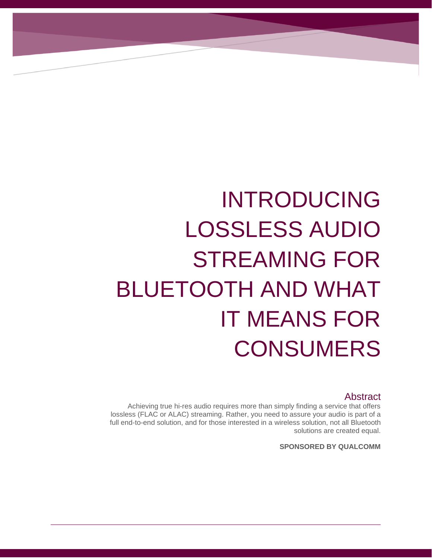# INTRODUCING LOSSLESS AUDIO STREAMING FOR BLUETOOTH AND WHAT IT MEANS FOR **CONSUMERS**

INTRODUCING LOSSLESS AUDIO

MEANS FOR CONSUMERS

STREAMING FOR BLUETOOTH AND WHAT IT

#### Abstract

 Achieving true hi-res audio requires more than simply finding a service that offers lossless (FLAC or ALAC) streaming. Rather, you need to assure your audio is part of a full end-to-end solution, and for those interested in a wireless solution, not all Bluetooth solutions are created equal.

**SPONSORED BY QUALCOMM**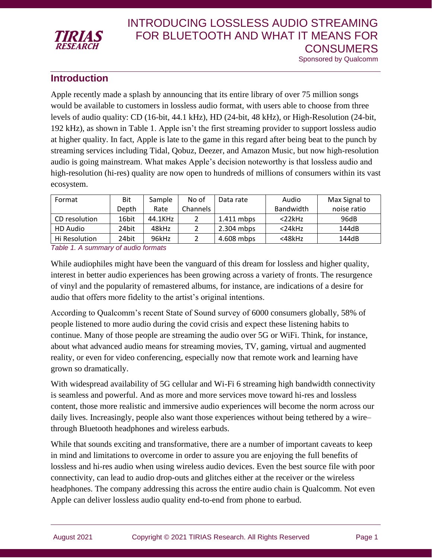

#### **Introduction**

Apple recently made a splash by announcing that its entire library of over 75 million songs would be available to customers in lossless audio format, with users able to choose from three levels of audio quality: CD (16-bit, 44.1 kHz), HD (24-bit, 48 kHz), or High-Resolution (24-bit, 192 kHz), as shown in Table 1. Apple isn't the first streaming provider to support lossless audio at higher quality. In fact, Apple is late to the game in this regard after being beat to the punch by streaming services including Tidal, Qobuz, Deezer, and Amazon Music, but now high-resolution audio is going mainstream. What makes Apple's decision noteworthy is that lossless audio and high-resolution (hi-res) quality are now open to hundreds of millions of consumers within its vast ecosystem.

| Format        | Bit   | Sample  | No of    | Data rate    | Audio            | Max Signal to |
|---------------|-------|---------|----------|--------------|------------------|---------------|
|               | Depth | Rate    | Channels |              | <b>Bandwidth</b> | noise ratio   |
| CD resolution | 16bit | 44.1KHz |          | $1.411$ mbps | $<$ 22 $k$ Hz    | 96dB          |
| HD Audio      | 24bit | 48kHz   |          | 2.304 mbps   | $<$ 24 $k$ Hz    | 144dB         |
| Hi Resolution | 24bit | 96kHz   |          | 4.608 mbps   | $<$ 48 $k$ Hz    | 144dB         |

*Table 1. A summary of audio formats*

While audiophiles might have been the vanguard of this dream for lossless and higher quality, interest in better audio experiences has been growing across a variety of fronts. The resurgence of vinyl and the popularity of remastered albums, for instance, are indications of a desire for audio that offers more fidelity to the artist's original intentions.

According to Qualcomm's recent State of Sound survey of 6000 consumers globally, 58% of people listened to more audio during the covid crisis and expect these listening habits to continue. Many of those people are streaming the audio over 5G or WiFi. Think, for instance, about what advanced audio means for streaming movies, TV, gaming, virtual and augmented reality, or even for video conferencing, especially now that remote work and learning have grown so dramatically.

With widespread availability of 5G cellular and Wi-Fi 6 streaming high bandwidth connectivity is seamless and powerful. And as more and more services move toward hi-res and lossless content, those more realistic and immersive audio experiences will become the norm across our daily lives. Increasingly, people also want those experiences without being tethered by a wire– through Bluetooth headphones and wireless earbuds.

While that sounds exciting and transformative, there are a number of important caveats to keep in mind and limitations to overcome in order to assure you are enjoying the full benefits of lossless and hi-res audio when using wireless audio devices. Even the best source file with poor connectivity, can lead to audio drop-outs and glitches either at the receiver or the wireless headphones. The company addressing this across the entire audio chain is Qualcomm. Not even Apple can deliver lossless audio quality end-to-end from phone to earbud.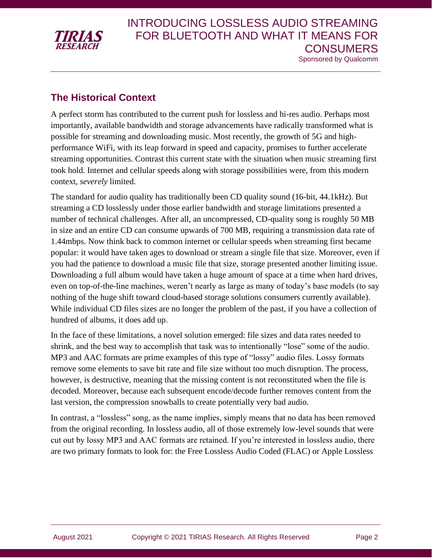

#### **The Historical Context**

A perfect storm has contributed to the current push for lossless and hi-res audio. Perhaps most importantly, available bandwidth and storage advancements have radically transformed what is possible for streaming and downloading music. Most recently, the growth of 5G and highperformance WiFi, with its leap forward in speed and capacity, promises to further accelerate streaming opportunities. Contrast this current state with the situation when music streaming first took hold. Internet and cellular speeds along with storage possibilities were, from this modern context, *severely* limited.

The standard for audio quality has traditionally been CD quality sound (16-bit, 44.1kHz). But streaming a CD losslessly under those earlier bandwidth and storage limitations presented a number of technical challenges. After all, an uncompressed, CD-quality song is roughly 50 MB in size and an entire CD can consume upwards of 700 MB, requiring a transmission data rate of 1.44mbps. Now think back to common internet or cellular speeds when streaming first became popular: it would have taken ages to download or stream a single file that size. Moreover, even if you had the patience to download a music file that size, storage presented another limiting issue. Downloading a full album would have taken a huge amount of space at a time when hard drives, even on top-of-the-line machines, weren't nearly as large as many of today's base models (to say nothing of the huge shift toward cloud-based storage solutions consumers currently available). While individual CD files sizes are no longer the problem of the past, if you have a collection of hundred of albums, it does add up.

In the face of these limitations, a novel solution emerged: file sizes and data rates needed to shrink, and the best way to accomplish that task was to intentionally "lose" some of the audio. MP3 and AAC formats are prime examples of this type of "lossy" audio files. Lossy formats remove some elements to save bit rate and file size without too much disruption. The process, however, is destructive, meaning that the missing content is not reconstituted when the file is decoded. Moreover, because each subsequent encode/decode further removes content from the last version, the compression snowballs to create potentially very bad audio.

In contrast, a "lossless" song, as the name implies, simply means that no data has been removed from the original recording. In lossless audio, all of those extremely low-level sounds that were cut out by lossy MP3 and AAC formats are retained. If you're interested in lossless audio, there are two primary formats to look for: the Free Lossless Audio Coded (FLAC) or Apple Lossless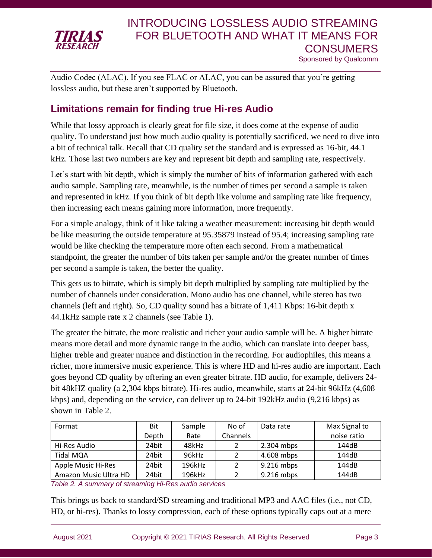

Audio Codec (ALAC). If you see FLAC or ALAC, you can be assured that you're getting lossless audio, but these aren't supported by Bluetooth.

### **Limitations remain for finding true Hi-res Audio**

While that lossy approach is clearly great for file size, it does come at the expense of audio quality. To understand just how much audio quality is potentially sacrificed, we need to dive into a bit of technical talk. Recall that CD quality set the standard and is expressed as 16-bit, 44.1 kHz. Those last two numbers are key and represent bit depth and sampling rate, respectively.

Let's start with bit depth, which is simply the number of bits of information gathered with each audio sample. Sampling rate, meanwhile, is the number of times per second a sample is taken and represented in kHz. If you think of bit depth like volume and sampling rate like frequency, then increasing each means gaining more information, more frequently.

For a simple analogy, think of it like taking a weather measurement: increasing bit depth would be like measuring the outside temperature at 95.35879 instead of 95.4; increasing sampling rate would be like checking the temperature more often each second. From a mathematical standpoint, the greater the number of bits taken per sample and/or the greater number of times per second a sample is taken, the better the quality.

This gets us to bitrate, which is simply bit depth multiplied by sampling rate multiplied by the number of channels under consideration. Mono audio has one channel, while stereo has two channels (left and right). So, CD quality sound has a bitrate of 1,411 Kbps: 16-bit depth x 44.1kHz sample rate x 2 channels (see Table 1).

The greater the bitrate, the more realistic and richer your audio sample will be. A higher bitrate means more detail and more dynamic range in the audio, which can translate into deeper bass, higher treble and greater nuance and distinction in the recording. For audiophiles, this means a richer, more immersive music experience. This is where HD and hi-res audio are important. Each goes beyond CD quality by offering an even greater bitrate. HD audio, for example, delivers 24 bit 48kHZ quality (a 2,304 kbps bitrate). Hi-res audio, meanwhile, starts at 24-bit 96kHz (4,608 kbps) and, depending on the service, can deliver up to 24-bit 192kHz audio (9,216 kbps) as shown in Table 2.

| Format                | Bit   | Sample | No of           | Data rate    | Max Signal to |
|-----------------------|-------|--------|-----------------|--------------|---------------|
|                       | Depth | Rate   | <b>Channels</b> |              | noise ratio   |
| Hi-Res Audio          | 24bit | 48kHz  |                 | $2.304$ mbps | 144dB         |
| Tidal MQA             | 24bit | 96kHz  |                 | 4.608 mbps   | 144dB         |
| Apple Music Hi-Res    | 24bit | 196kHz |                 | 9.216 mbps   | 144dB         |
| Amazon Music Ultra HD | 24bit | 196kHz |                 | 9.216 mbps   | 144dB         |

*Table 2. A summary of streaming Hi-Res audio services*

This brings us back to standard/SD streaming and traditional MP3 and AAC files (i.e., not CD, HD, or hi-res). Thanks to lossy compression, each of these options typically caps out at a mere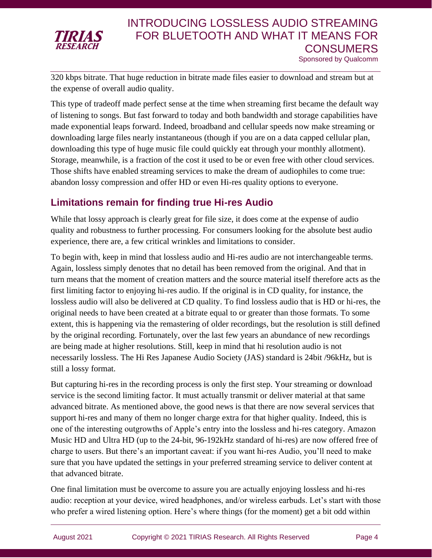

320 kbps bitrate. That huge reduction in bitrate made files easier to download and stream but at the expense of overall audio quality.

This type of tradeoff made perfect sense at the time when streaming first became the default way of listening to songs. But fast forward to today and both bandwidth and storage capabilities have made exponential leaps forward. Indeed, broadband and cellular speeds now make streaming or downloading large files nearly instantaneous (though if you are on a data capped cellular plan, downloading this type of huge music file could quickly eat through your monthly allotment). Storage, meanwhile, is a fraction of the cost it used to be or even free with other cloud services. Those shifts have enabled streaming services to make the dream of audiophiles to come true: abandon lossy compression and offer HD or even Hi-res quality options to everyone.

### **Limitations remain for finding true Hi-res Audio**

While that lossy approach is clearly great for file size, it does come at the expense of audio quality and robustness to further processing. For consumers looking for the absolute best audio experience, there are, a few critical wrinkles and limitations to consider.

To begin with, keep in mind that lossless audio and Hi-res audio are not interchangeable terms. Again, lossless simply denotes that no detail has been removed from the original. And that in turn means that the moment of creation matters and the source material itself therefore acts as the first limiting factor to enjoying hi-res audio. If the original is in CD quality, for instance, the lossless audio will also be delivered at CD quality. To find lossless audio that is HD or hi-res, the original needs to have been created at a bitrate equal to or greater than those formats. To some extent, this is happening via the remastering of older recordings, but the resolution is still defined by the original recording. Fortunately, over the last few years an abundance of new recordings are being made at higher resolutions. Still, keep in mind that hi resolution audio is not necessarily lossless. The Hi Res Japanese Audio Society (JAS) standard is 24bit /96kHz, but is still a lossy format.

But capturing hi-res in the recording process is only the first step. Your streaming or download service is the second limiting factor. It must actually transmit or deliver material at that same advanced bitrate. As mentioned above, the good news is that there are now several services that support hi-res and many of them no longer charge extra for that higher quality. Indeed, this is one of the interesting outgrowths of Apple's entry into the lossless and hi-res category. Amazon Music HD and Ultra HD (up to the 24-bit, 96-192kHz standard of hi-res) are now offered free of charge to users. But there's an important caveat: if you want hi-res Audio, you'll need to make sure that you have updated the settings in your preferred streaming service to deliver content at that advanced bitrate.

One final limitation must be overcome to assure you are actually enjoying lossless and hi-res audio: reception at your device, wired headphones, and/or wireless earbuds. Let's start with those who prefer a wired listening option. Here's where things (for the moment) get a bit odd within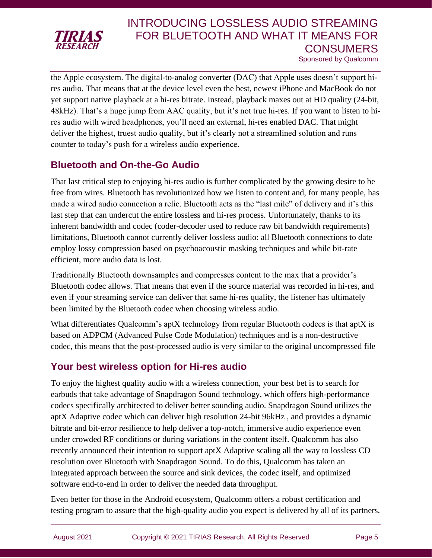

## INTRODUCING LOSSLESS AUDIO STREAMING FOR BLUETOOTH AND WHAT IT MEANS FOR **CONSUMERS**

Sponsored by Qualcomm

the Apple ecosystem. The digital-to-analog converter (DAC) that Apple uses doesn't support hires audio. That means that at the device level even the best, newest iPhone and MacBook do not yet support native playback at a hi-res bitrate. Instead, playback maxes out at HD quality (24-bit, 48kHz). That's a huge jump from AAC quality, but it's not true hi-res. If you want to listen to hires audio with wired headphones, you'll need an external, hi-res enabled DAC. That might deliver the highest, truest audio quality, but it's clearly not a streamlined solution and runs counter to today's push for a wireless audio experience.

### **Bluetooth and On-the-Go Audio**

That last critical step to enjoying hi-res audio is further complicated by the growing desire to be free from wires. Bluetooth has revolutionized how we listen to content and, for many people, has made a wired audio connection a relic. Bluetooth acts as the "last mile" of delivery and it's this last step that can undercut the entire lossless and hi-res process. Unfortunately, thanks to its inherent bandwidth and codec (coder-decoder used to reduce raw bit bandwidth requirements) limitations, Bluetooth cannot currently deliver lossless audio: all Bluetooth connections to date employ lossy compression based on psychoacoustic masking techniques and while bit-rate efficient, more audio data is lost.

Traditionally Bluetooth downsamples and compresses content to the max that a provider's Bluetooth codec allows. That means that even if the source material was recorded in hi-res, and even if your streaming service can deliver that same hi-res quality, the listener has ultimately been limited by the Bluetooth codec when choosing wireless audio.

What differentiates Qualcomm's aptX technology from regular Bluetooth codecs is that aptX is based on ADPCM (Advanced Pulse Code Modulation) techniques and is a non-destructive codec, this means that the post-processed audio is very similar to the original uncompressed file

#### **Your best wireless option for Hi-res audio**

To enjoy the highest quality audio with a wireless connection, your best bet is to search for earbuds that take advantage of Snapdragon Sound technology, which offers high-performance codecs specifically architected to deliver better sounding audio. Snapdragon Sound utilizes the aptX Adaptive codec which can deliver high resolution 24-bit 96kHz , and provides a dynamic bitrate and bit-error resilience to help deliver a top-notch, immersive audio experience even under crowded RF conditions or during variations in the content itself. Qualcomm has also recently announced their intention to support aptX Adaptive scaling all the way to lossless CD resolution over Bluetooth with Snapdragon Sound. To do this, Qualcomm has taken an integrated approach between the source and sink devices, the codec itself, and optimized software end-to-end in order to deliver the needed data throughput.

Even better for those in the Android ecosystem, Qualcomm offers a robust certification and testing program to assure that the high-quality audio you expect is delivered by all of its partners.